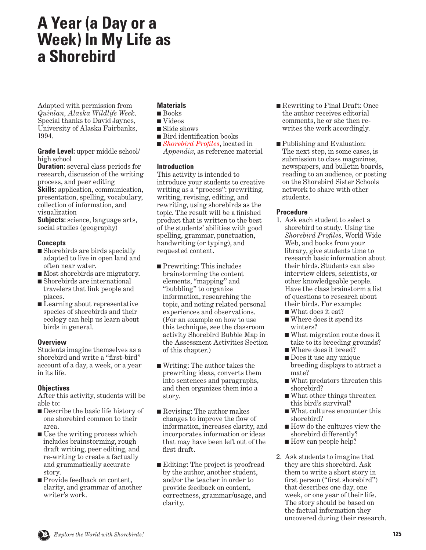# **A Year (a Day or a Week) In My Life as a Shorebird**

Adapted with permission from *Quinlan, Alaska Wildlife Week*. Special thanks to David Jaynes, University of Alaska Fairbanks, 1994.

**Grade Level:** upper middle school/ high school

**Duration:** several class periods for research, discussion of the writing process, and peer editing

**Skills:** application, communication, presentation, spelling, vocabulary, collection of information, and visualization

**Subjects:** science, language arts, social studies (geography)

## **Concepts**

- Shorebirds are birds specially adapted to live in open land and often near water.
- Most shorebirds are migratory.
- Shorebirds are international travelers that link people and places.
- Learning about representative species of shorebirds and their ecology can help us learn about birds in general.

## **Overview**

Students imagine themselves as a shorebird and write a "first-bird" account of a day, a week, or a year in its life.

## **Objectives**

After this activity, students will be able to:

- Describe the basic life history of one shorebird common to their area.
- Use the writing process which includes brainstorming, rough draft writing, peer editing, and re-writing to create a factually and grammatically accurate story.
- Provide feedback on content, clarity, and grammar of another writer's work.

# **Materials**

- Books
- Videos
- Slide shows
- Bird identification books
- *Shorebird Profiles*, located in *Appendix*, as reference material

## **Introduction**

This activity is intended to introduce your students to creative writing as a "process": prewriting, writing, revising, editing, and rewriting, using shorebirds as the topic. The result will be a finished product that is written to the best of the students' abilities with good spelling, grammar, punctuation, handwriting (or typing), and requested content.

- Prewriting: This includes brainstorming the content elements, "mapping" and "bubbling" to organize information, researching the topic, and noting related personal experiences and observations. (For an example on how to use this technique, see the classroom activity Shorebird Bubble Map in the Assessment Activities Section of this chapter.)
- Writing: The author takes the prewriting ideas, converts them into sentences and paragraphs, and then organizes them into a story.
- Revising: The author makes changes to improve the flow of information, increases clarity, and incorporates information or ideas that may have been left out of the first draft.
- Editing: The project is proofread by the author, another student, and/or the teacher in order to provide feedback on content, correctness, grammar/usage, and clarity.
- Rewriting to Final Draft: Once the author receives editorial comments, he or she then rewrites the work accordingly.
- Publishing and Evaluation: The next step, in some cases, is submission to class magazines, newspapers, and bulletin boards, reading to an audience, or posting on the Shorebird Sister Schools network to share with other students.

## **Procedure**

- 1. Ask each student to select a shorebird to study. Using the *Shorebird Profiles*, World Wide Web, and books from your library, give students time to research basic information about their birds. Students can also interview elders, scientists, or other knowledgeable people. Have the class brainstorm a list of questions to research about their birds. For example:
	- What does it eat?
	- Where does it spend its winters?
	- What migration route does it take to its breeding grounds?
	- Where does it breed?
	- Does it use any unique breeding displays to attract a mate?
	- What predators threaten this shorebird?
	- What other things threaten this bird's survival?
	- What cultures encounter this shorebird?
	- How do the cultures view the shorebird differently?
	- How can people help?
- 2. Ask students to imagine that they are this shorebird. Ask them to write a short story in first person ("first shorebird") that describes one day, one week, or one year of their life. The story should be based on the factual information they uncovered during their research.